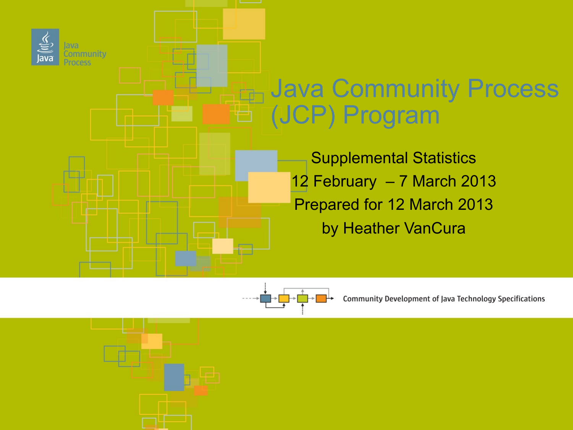



**Community Development of Java Technology Specifications**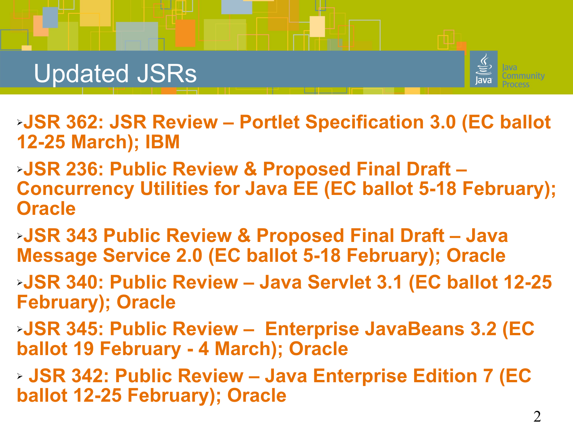

- ➢**JSR 362: JSR Review Portlet Specification 3.0 (EC ballot 12-25 March); IBM**
- ➢**JSR 236: Public Review & Proposed Final Draft Concurrency Utilities for Java EE (EC ballot 5-18 February); Oracle**
- ➢**JSR 343 Public Review & Proposed Final Draft Java Message Service 2.0 (EC ballot 5-18 February); Oracle**
- ➢**JSR 340: Public Review Java Servlet 3.1 (EC ballot 12-25 February); Oracle**
- ➢**JSR 345: Public Review Enterprise JavaBeans 3.2 (EC ballot 19 February - 4 March); Oracle**
- ➢ **JSR 342: Public Review Java Enterprise Edition 7 (EC ballot 12-25 February); Oracle**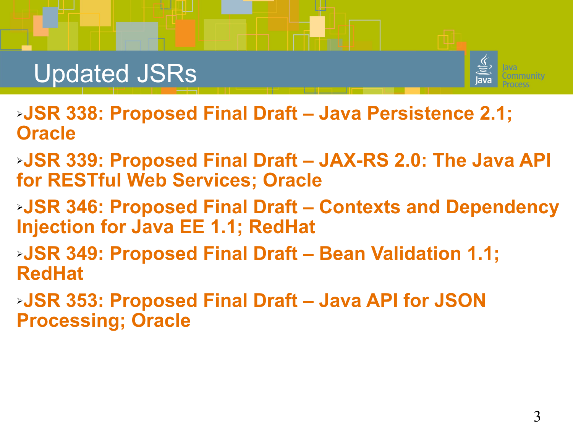

- ➢**JSR 338: Proposed Final Draft Java Persistence 2.1; Oracle**
- ➢**JSR 339: Proposed Final Draft JAX-RS 2.0: The Java API for RESTful Web Services; Oracle**
- ➢**JSR 346: Proposed Final Draft Contexts and Dependency Injection for Java EE 1.1; RedHat**
- ➢**JSR 349: Proposed Final Draft Bean Validation 1.1; RedHat**
- ➢**JSR 353: Proposed Final Draft Java API for JSON Processing; Oracle**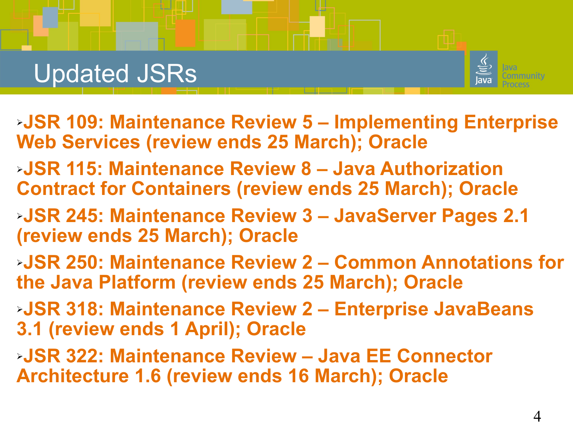

- ➢**JSR 109: Maintenance Review 5 Implementing Enterprise Web Services (review ends 25 March); Oracle**
- ➢**JSR 115: Maintenance Review 8 Java Authorization Contract for Containers (review ends 25 March); Oracle**
- ➢**JSR 245: Maintenance Review 3 JavaServer Pages 2.1 (review ends 25 March); Oracle**
- ➢**JSR 250: Maintenance Review 2 Common Annotations for the Java Platform (review ends 25 March); Oracle**
- ➢**JSR 318: Maintenance Review 2 Enterprise JavaBeans 3.1 (review ends 1 April); Oracle**
- ➢**JSR 322: Maintenance Review Java EE Connector Architecture 1.6 (review ends 16 March); Oracle**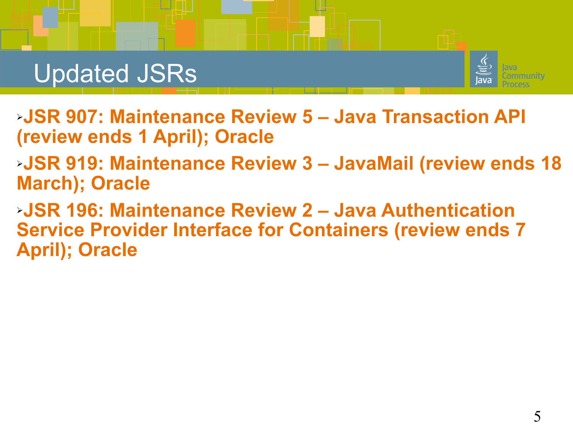

➢**JSR 907: Maintenance Review 5 – Java Transaction API (review ends 1 April); Oracle**

➢**JSR 919: Maintenance Review 3 – JavaMail (review ends 18 March); Oracle**

➢**JSR 196: Maintenance Review 2 – Java Authentication Service Provider Interface for Containers (review ends 7 April); Oracle**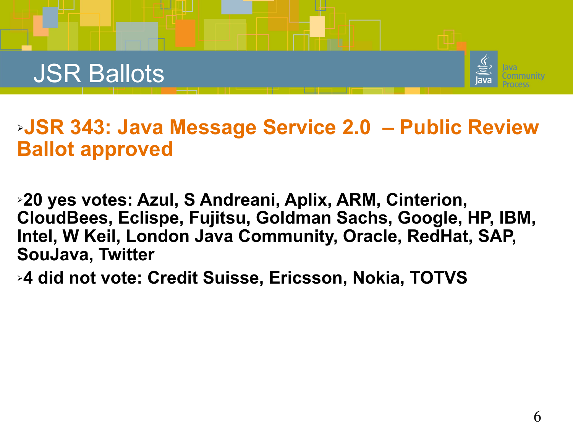



#### ➢**JSR 343: Java Message Service 2.0 – Public Review Ballot approved**

➢**20 yes votes: Azul, S Andreani, Aplix, ARM, Cinterion, CloudBees, Eclispe, Fujitsu, Goldman Sachs, Google, HP, IBM, Intel, W Keil, London Java Community, Oracle, RedHat, SAP, SouJava, Twitter**

➢**4 did not vote: Credit Suisse, Ericsson, Nokia, TOTVS**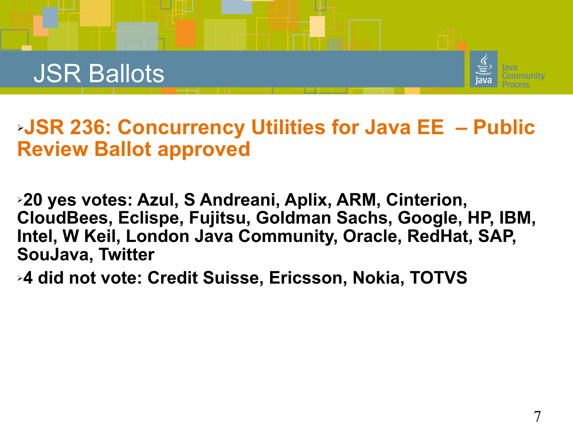### JSR Ballots



➢**JSR 236: Concurrency Utilities for Java EE – Public Review Ballot approved**

➢**20 yes votes: Azul, S Andreani, Aplix, ARM, Cinterion, CloudBees, Eclispe, Fujitsu, Goldman Sachs, Google, HP, IBM, Intel, W Keil, London Java Community, Oracle, RedHat, SAP, SouJava, Twitter**

➢**4 did not vote: Credit Suisse, Ericsson, Nokia, TOTVS**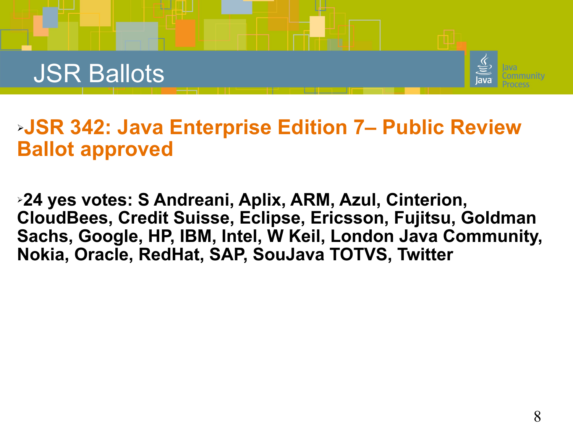



#### ➢**JSR 342: Java Enterprise Edition 7– Public Review Ballot approved**

➢**24 yes votes: S Andreani, Aplix, ARM, Azul, Cinterion, CloudBees, Credit Suisse, Eclipse, Ericsson, Fujitsu, Goldman Sachs, Google, HP, IBM, Intel, W Keil, London Java Community, Nokia, Oracle, RedHat, SAP, SouJava TOTVS, Twitter**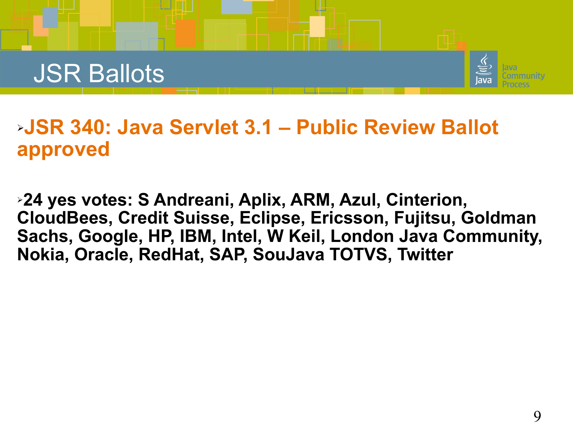



#### ➢**JSR 340: Java Servlet 3.1 – Public Review Ballot approved**

➢**24 yes votes: S Andreani, Aplix, ARM, Azul, Cinterion, CloudBees, Credit Suisse, Eclipse, Ericsson, Fujitsu, Goldman Sachs, Google, HP, IBM, Intel, W Keil, London Java Community, Nokia, Oracle, RedHat, SAP, SouJava TOTVS, Twitter**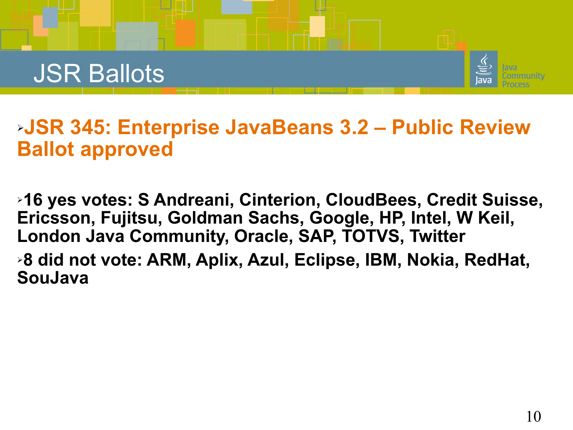## JSR Ballots



#### ➢**JSR 345: Enterprise JavaBeans 3.2 – Public Review Ballot approved**

➢**16 yes votes: S Andreani, Cinterion, CloudBees, Credit Suisse, Ericsson, Fujitsu, Goldman Sachs, Google, HP, Intel, W Keil, London Java Community, Oracle, SAP, TOTVS, Twitter**

➢**8 did not vote: ARM, Aplix, Azul, Eclipse, IBM, Nokia, RedHat, SouJava**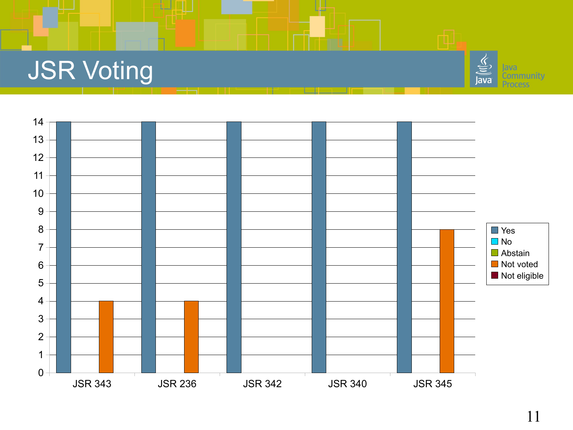# JSR Voting